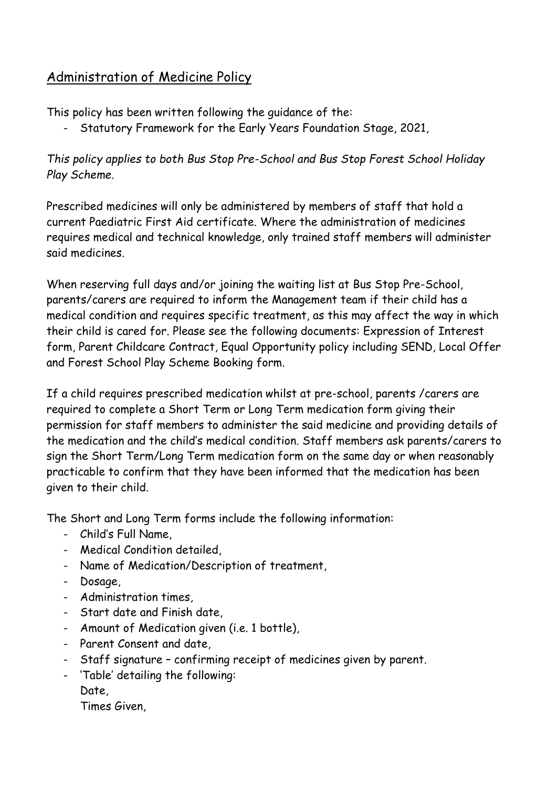# Administration of Medicine Policy

This policy has been written following the guidance of the:

- Statutory Framework for the Early Years Foundation Stage, 2021,

# *This policy applies to both Bus Stop Pre-School and Bus Stop Forest School Holiday Play Scheme.*

Prescribed medicines will only be administered by members of staff that hold a current Paediatric First Aid certificate. Where the administration of medicines requires medical and technical knowledge, only trained staff members will administer said medicines.

When reserving full days and/or joining the waiting list at Bus Stop Pre-School, parents/carers are required to inform the Management team if their child has a medical condition and requires specific treatment, as this may affect the way in which their child is cared for. Please see the following documents: Expression of Interest form, Parent Childcare Contract, Equal Opportunity policy including SEND, Local Offer and Forest School Play Scheme Booking form.

If a child requires prescribed medication whilst at pre-school, parents /carers are required to complete a Short Term or Long Term medication form giving their permission for staff members to administer the said medicine and providing details of the medication and the child's medical condition. Staff members ask parents/carers to sign the Short Term/Long Term medication form on the same day or when reasonably practicable to confirm that they have been informed that the medication has been given to their child.

The Short and Long Term forms include the following information:

- Child's Full Name,
- Medical Condition detailed,
- Name of Medication/Description of treatment,
- Dosage,
- Administration times,
- Start date and Finish date,
- Amount of Medication given (i.e. 1 bottle),
- Parent Consent and date,
- Staff signature confirming receipt of medicines given by parent.
- 'Table' detailing the following: Date,

Times Given,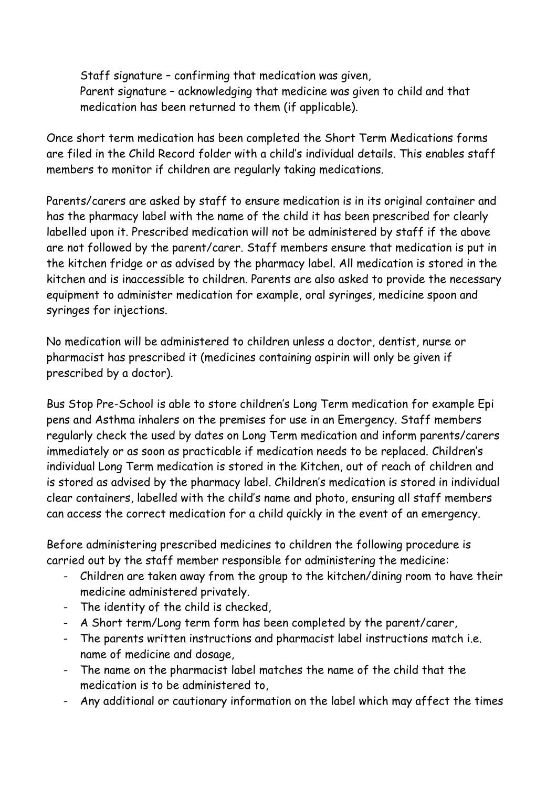Staff signature – confirming that medication was given, Parent signature – acknowledging that medicine was given to child and that medication has been returned to them (if applicable).

Once short term medication has been completed the Short Term Medications forms are filed in the Child Record folder with a child's individual details. This enables staff members to monitor if children are regularly taking medications.

Parents/carers are asked by staff to ensure medication is in its original container and has the pharmacy label with the name of the child it has been prescribed for clearly labelled upon it. Prescribed medication will not be administered by staff if the above are not followed by the parent/carer. Staff members ensure that medication is put in the kitchen fridge or as advised by the pharmacy label. All medication is stored in the kitchen and is inaccessible to children. Parents are also asked to provide the necessary equipment to administer medication for example, oral syringes, medicine spoon and syringes for injections.

No medication will be administered to children unless a doctor, dentist, nurse or pharmacist has prescribed it (medicines containing aspirin will only be given if prescribed by a doctor).

Bus Stop Pre-School is able to store children's Long Term medication for example Epi pens and Asthma inhalers on the premises for use in an Emergency. Staff members regularly check the used by dates on Long Term medication and inform parents/carers immediately or as soon as practicable if medication needs to be replaced. Children's individual Long Term medication is stored in the Kitchen, out of reach of children and is stored as advised by the pharmacy label. Children's medication is stored in individual clear containers, labelled with the child's name and photo, ensuring all staff members can access the correct medication for a child quickly in the event of an emergency.

Before administering prescribed medicines to children the following procedure is carried out by the staff member responsible for administering the medicine:

- Children are taken away from the group to the kitchen/dining room to have their medicine administered privately.
- The identity of the child is checked,
- A Short term/Long term form has been completed by the parent/carer,
- The parents written instructions and pharmacist label instructions match i.e. name of medicine and dosage,
- The name on the pharmacist label matches the name of the child that the medication is to be administered to,
- Any additional or cautionary information on the label which may affect the times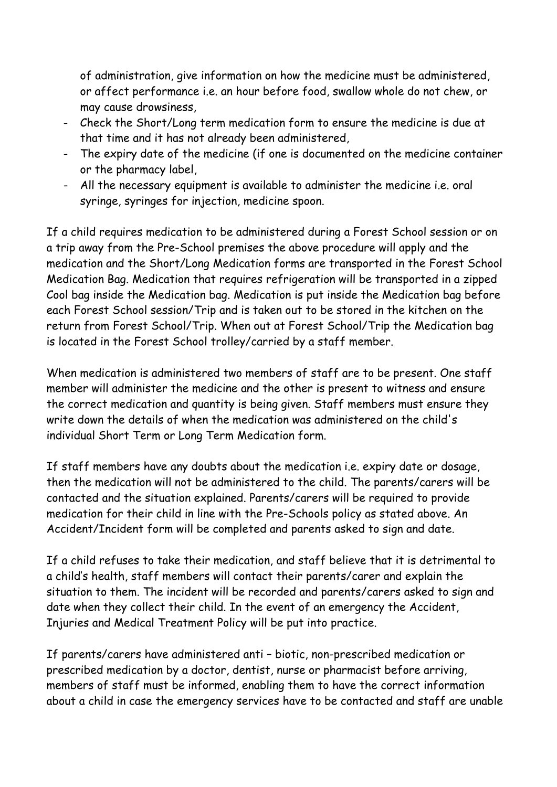of administration, give information on how the medicine must be administered, or affect performance i.e. an hour before food, swallow whole do not chew, or may cause drowsiness,

- Check the Short/Long term medication form to ensure the medicine is due at that time and it has not already been administered,
- The expiry date of the medicine (if one is documented on the medicine container or the pharmacy label,
- All the necessary equipment is available to administer the medicine i.e. oral syringe, syringes for injection, medicine spoon.

If a child requires medication to be administered during a Forest School session or on a trip away from the Pre-School premises the above procedure will apply and the medication and the Short/Long Medication forms are transported in the Forest School Medication Bag. Medication that requires refrigeration will be transported in a zipped Cool bag inside the Medication bag. Medication is put inside the Medication bag before each Forest School session/Trip and is taken out to be stored in the kitchen on the return from Forest School/Trip. When out at Forest School/Trip the Medication bag is located in the Forest School trolley/carried by a staff member.

When medication is administered two members of staff are to be present. One staff member will administer the medicine and the other is present to witness and ensure the correct medication and quantity is being given. Staff members must ensure they write down the details of when the medication was administered on the child's individual Short Term or Long Term Medication form.

If staff members have any doubts about the medication i.e. expiry date or dosage, then the medication will not be administered to the child. The parents/carers will be contacted and the situation explained. Parents/carers will be required to provide medication for their child in line with the Pre-Schools policy as stated above. An Accident/Incident form will be completed and parents asked to sign and date.

If a child refuses to take their medication, and staff believe that it is detrimental to a child's health, staff members will contact their parents/carer and explain the situation to them. The incident will be recorded and parents/carers asked to sign and date when they collect their child. In the event of an emergency the Accident, Injuries and Medical Treatment Policy will be put into practice.

If parents/carers have administered anti – biotic, non-prescribed medication or prescribed medication by a doctor, dentist, nurse or pharmacist before arriving, members of staff must be informed, enabling them to have the correct information about a child in case the emergency services have to be contacted and staff are unable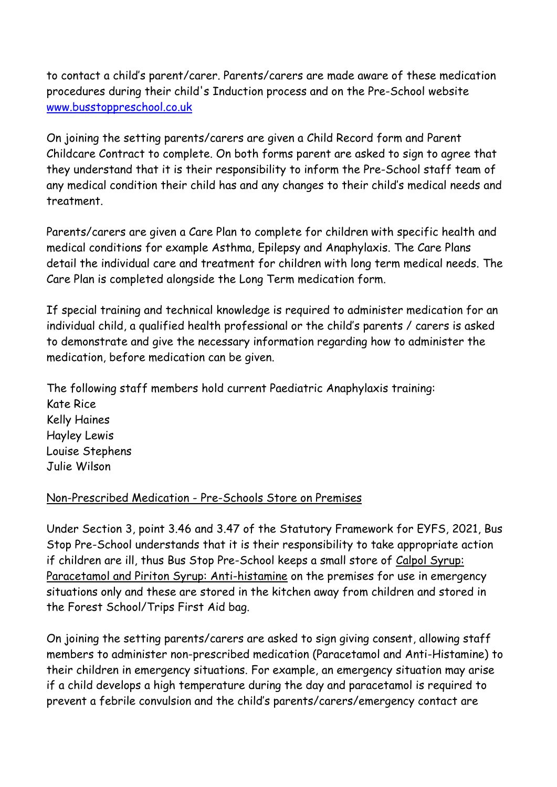to contact a child's parent/carer. Parents/carers are made aware of these medication procedures during their child's Induction process and on the Pre-School website [www.busstoppreschool.co.uk](http://www.busstoppreschool.co.uk/)

On joining the setting parents/carers are given a Child Record form and Parent Childcare Contract to complete. On both forms parent are asked to sign to agree that they understand that it is their responsibility to inform the Pre-School staff team of any medical condition their child has and any changes to their child's medical needs and treatment.

Parents/carers are given a Care Plan to complete for children with specific health and medical conditions for example Asthma, Epilepsy and Anaphylaxis. The Care Plans detail the individual care and treatment for children with long term medical needs. The Care Plan is completed alongside the Long Term medication form.

If special training and technical knowledge is required to administer medication for an individual child, a qualified health professional or the child's parents / carers is asked to demonstrate and give the necessary information regarding how to administer the medication, before medication can be given.

The following staff members hold current Paediatric Anaphylaxis training: Kate Rice Kelly Haines Hayley Lewis Louise Stephens Julie Wilson

#### Non-Prescribed Medication - Pre-Schools Store on Premises

Under Section 3, point 3.46 and 3.47 of the Statutory Framework for EYFS, 2021, Bus Stop Pre-School understands that it is their responsibility to take appropriate action if children are ill, thus Bus Stop Pre-School keeps a small store of Calpol Syrup: Paracetamol and Piriton Syrup: Anti-histamine on the premises for use in emergency situations only and these are stored in the kitchen away from children and stored in the Forest School/Trips First Aid bag.

On joining the setting parents/carers are asked to sign giving consent, allowing staff members to administer non-prescribed medication (Paracetamol and Anti-Histamine) to their children in emergency situations. For example, an emergency situation may arise if a child develops a high temperature during the day and paracetamol is required to prevent a febrile convulsion and the child's parents/carers/emergency contact are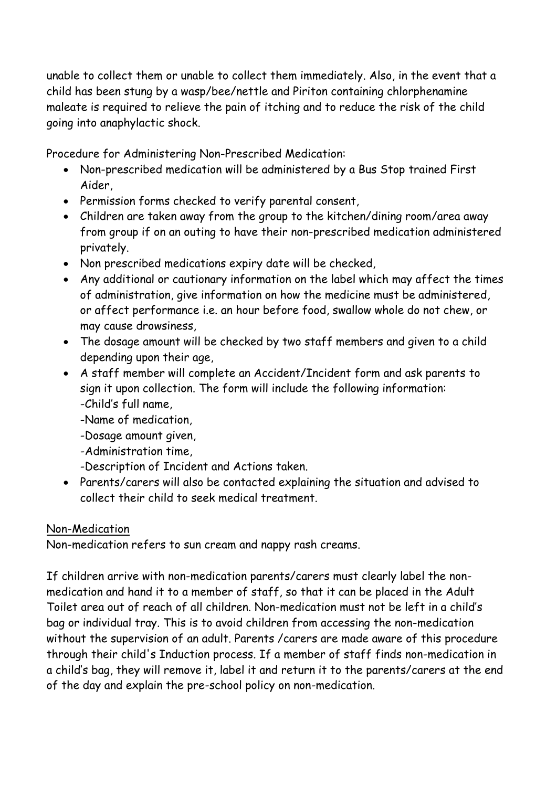unable to collect them or unable to collect them immediately. Also, in the event that a child has been stung by a wasp/bee/nettle and Piriton containing chlorphenamine maleate is required to relieve the pain of itching and to reduce the risk of the child going into anaphylactic shock.

Procedure for Administering Non-Prescribed Medication:

- Non-prescribed medication will be administered by a Bus Stop trained First Aider,
- Permission forms checked to verify parental consent,
- Children are taken away from the group to the kitchen/dining room/area away from group if on an outing to have their non-prescribed medication administered privately.
- Non prescribed medications expiry date will be checked,
- Any additional or cautionary information on the label which may affect the times of administration, give information on how the medicine must be administered, or affect performance i.e. an hour before food, swallow whole do not chew, or may cause drowsiness,
- The dosage amount will be checked by two staff members and given to a child depending upon their age,
- A staff member will complete an Accident/Incident form and ask parents to sign it upon collection. The form will include the following information: -Child's full name,
	- -Name of medication,
	- -Dosage amount given,
	- -Administration time,
	- -Description of Incident and Actions taken.
- Parents/carers will also be contacted explaining the situation and advised to collect their child to seek medical treatment.

#### Non-Medication

Non-medication refers to sun cream and nappy rash creams.

If children arrive with non-medication parents/carers must clearly label the nonmedication and hand it to a member of staff, so that it can be placed in the Adult Toilet area out of reach of all children. Non-medication must not be left in a child's bag or individual tray. This is to avoid children from accessing the non-medication without the supervision of an adult. Parents /carers are made aware of this procedure through their child's Induction process. If a member of staff finds non-medication in a child's bag, they will remove it, label it and return it to the parents/carers at the end of the day and explain the pre-school policy on non-medication.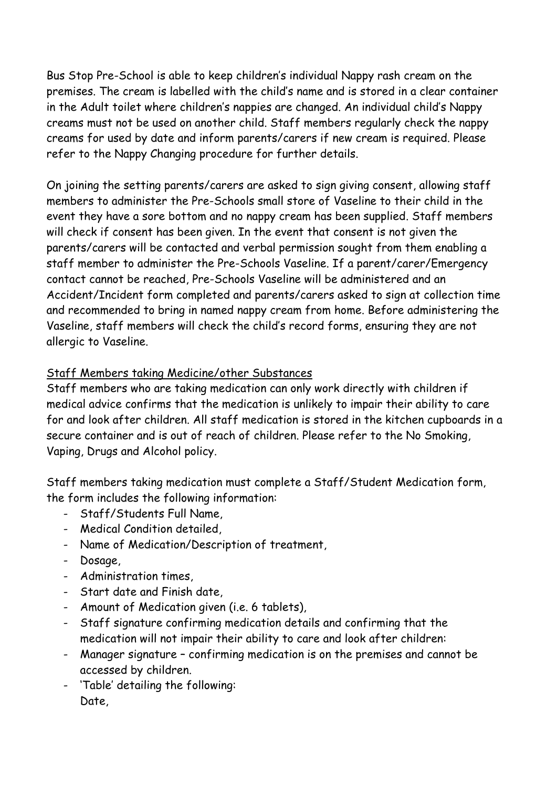Bus Stop Pre-School is able to keep children's individual Nappy rash cream on the premises. The cream is labelled with the child's name and is stored in a clear container in the Adult toilet where children's nappies are changed. An individual child's Nappy creams must not be used on another child. Staff members regularly check the nappy creams for used by date and inform parents/carers if new cream is required. Please refer to the Nappy Changing procedure for further details.

On joining the setting parents/carers are asked to sign giving consent, allowing staff members to administer the Pre-Schools small store of Vaseline to their child in the event they have a sore bottom and no nappy cream has been supplied. Staff members will check if consent has been given. In the event that consent is not given the parents/carers will be contacted and verbal permission sought from them enabling a staff member to administer the Pre-Schools Vaseline. If a parent/carer/Emergency contact cannot be reached, Pre-Schools Vaseline will be administered and an Accident/Incident form completed and parents/carers asked to sign at collection time and recommended to bring in named nappy cream from home. Before administering the Vaseline, staff members will check the child's record forms, ensuring they are not allergic to Vaseline.

### Staff Members taking Medicine/other Substances

Staff members who are taking medication can only work directly with children if medical advice confirms that the medication is unlikely to impair their ability to care for and look after children. All staff medication is stored in the kitchen cupboards in a secure container and is out of reach of children. Please refer to the No Smoking, Vaping, Drugs and Alcohol policy.

Staff members taking medication must complete a Staff/Student Medication form, the form includes the following information:

- Staff/Students Full Name,
- Medical Condition detailed,
- Name of Medication/Description of treatment,
- Dosage,
- Administration times,
- Start date and Finish date,
- Amount of Medication given (i.e. 6 tablets),
- Staff signature confirming medication details and confirming that the medication will not impair their ability to care and look after children:
- Manager signature confirming medication is on the premises and cannot be accessed by children.
- 'Table' detailing the following: Date,